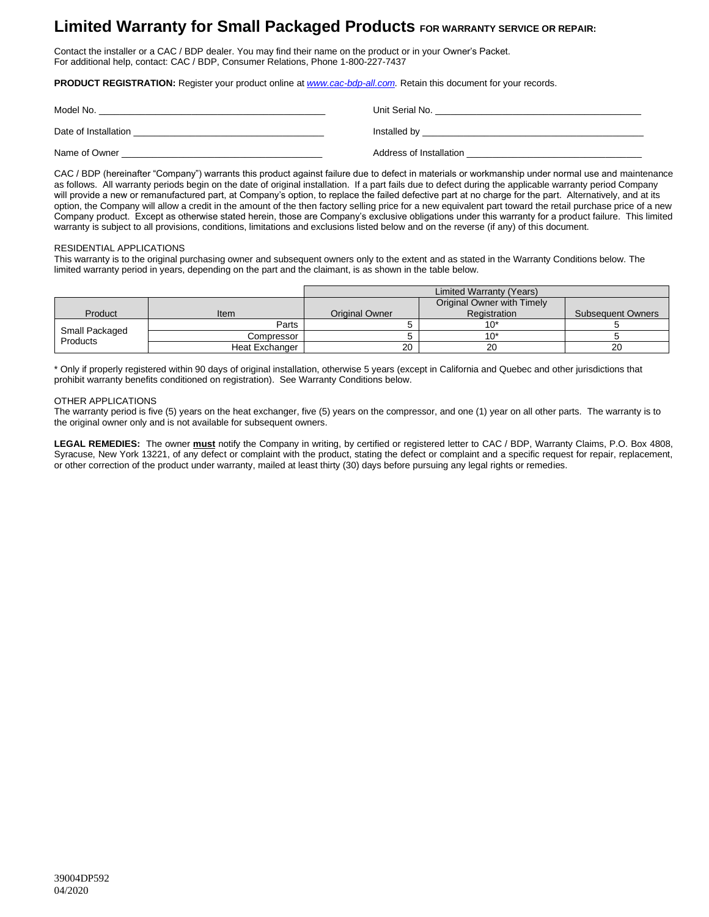# **Limited Warranty for Small Packaged Products FOR WARRANTY SERVICE OR REPAIR:**

Contact the installer or a CAC / BDP dealer. You may find their name on the product or in your Owner's Packet. For additional help, contact: CAC / BDP, Consumer Relations, Phone 1-800-227-7437

**PRODUCT REGISTRATION:** Register your product online at *[www.cac-bdp-all.com.](http://www.cac-bdp.com/)* Retain this document for your records.

| Model No.            | Unit Serial No.         |
|----------------------|-------------------------|
| Date of Installation | Installed by            |
| Name of Owner        | Address of Installation |

CAC / BDP (hereinafter "Company") warrants this product against failure due to defect in materials or workmanship under normal use and maintenance as follows. All warranty periods begin on the date of original installation. If a part fails due to defect during the applicable warranty period Company will provide a new or remanufactured part, at Company's option, to replace the failed defective part at no charge for the part. Alternatively, and at its option, the Company will allow a credit in the amount of the then factory selling price for a new equivalent part toward the retail purchase price of a new Company product. Except as otherwise stated herein, those are Company's exclusive obligations under this warranty for a product failure. This limited warranty is subject to all provisions, conditions, limitations and exclusions listed below and on the reverse (if any) of this document.

#### RESIDENTIAL APPLICATIONS

This warranty is to the original purchasing owner and subsequent owners only to the extent and as stated in the Warranty Conditions below. The limited warranty period in years, depending on the part and the claimant, is as shown in the table below.

|                            |                | Limited Warranty (Years) |                            |                          |
|----------------------------|----------------|--------------------------|----------------------------|--------------------------|
|                            |                |                          | Original Owner with Timely |                          |
| Product                    | Item           | <b>Original Owner</b>    | Registration               | <b>Subsequent Owners</b> |
| Small Packaged<br>Products | Parts          |                          | $10*$                      |                          |
|                            | Compressor     |                          | 10'                        |                          |
|                            | Heat Exchanger | 20                       | 20                         | 20                       |

\* Only if properly registered within 90 days of original installation, otherwise 5 years (except in California and Quebec and other jurisdictions that prohibit warranty benefits conditioned on registration). See Warranty Conditions below.

### OTHER APPLICATIONS

The warranty period is five (5) years on the heat exchanger, five (5) years on the compressor, and one (1) year on all other parts. The warranty is to the original owner only and is not available for subsequent owners.

**LEGAL REMEDIES:** The owner **must** notify the Company in writing, by certified or registered letter to CAC / BDP, Warranty Claims, P.O. Box 4808, Syracuse, New York 13221, of any defect or complaint with the product, stating the defect or complaint and a specific request for repair, replacement, or other correction of the product under warranty, mailed at least thirty (30) days before pursuing any legal rights or remedies.